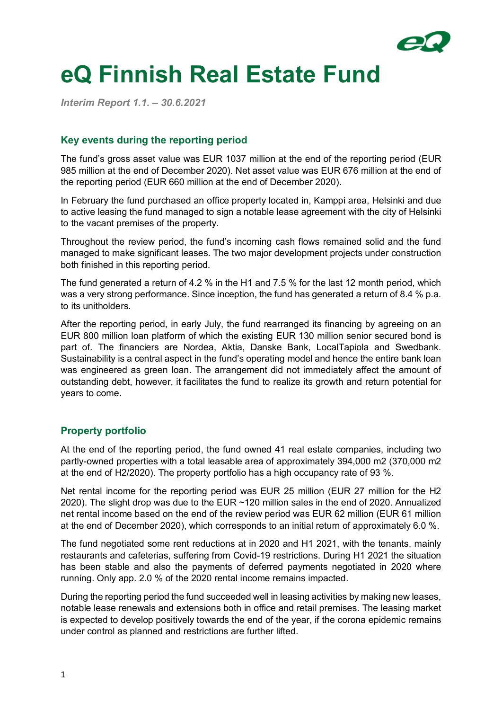

# **eQ Finnish Real Estate Fund**

*Interim Report 1.1. – 30.6.2021*

#### **Key events during the reporting period**

The fund's gross asset value was EUR 1037 million at the end of the reporting period (EUR 985 million at the end of December 2020). Net asset value was EUR 676 million at the end of the reporting period (EUR 660 million at the end of December 2020).

In February the fund purchased an office property located in, Kamppi area, Helsinki and due to active leasing the fund managed to sign a notable lease agreement with the city of Helsinki to the vacant premises of the property.

Throughout the review period, the fund's incoming cash flows remained solid and the fund managed to make significant leases. The two major development projects under construction both finished in this reporting period.

The fund generated a return of 4.2 % in the H1 and 7.5 % for the last 12 month period, which was a very strong performance. Since inception, the fund has generated a return of 8.4 % p.a. to its unitholders.

After the reporting period, in early July, the fund rearranged its financing by agreeing on an EUR 800 million loan platform of which the existing EUR 130 million senior secured bond is part of. The financiers are Nordea, Aktia, Danske Bank, LocalTapiola and Swedbank. Sustainability is a central aspect in the fund's operating model and hence the entire bank loan was engineered as green loan. The arrangement did not immediately affect the amount of outstanding debt, however, it facilitates the fund to realize its growth and return potential for years to come.

# **Property portfolio**

At the end of the reporting period, the fund owned 41 real estate companies, including two partly-owned properties with a total leasable area of approximately 394,000 m2 (370,000 m2 at the end of H2/2020). The property portfolio has a high occupancy rate of 93 %.

Net rental income for the reporting period was EUR 25 million (EUR 27 million for the H2 2020). The slight drop was due to the EUR ~120 million sales in the end of 2020. Annualized net rental income based on the end of the review period was EUR 62 million (EUR 61 million at the end of December 2020), which corresponds to an initial return of approximately 6.0 %.

The fund negotiated some rent reductions at in 2020 and H1 2021, with the tenants, mainly restaurants and cafeterias, suffering from Covid-19 restrictions. During H1 2021 the situation has been stable and also the payments of deferred payments negotiated in 2020 where running. Only app. 2.0 % of the 2020 rental income remains impacted.

During the reporting period the fund succeeded well in leasing activities by making new leases, notable lease renewals and extensions both in office and retail premises. The leasing market is expected to develop positively towards the end of the year, if the corona epidemic remains under control as planned and restrictions are further lifted.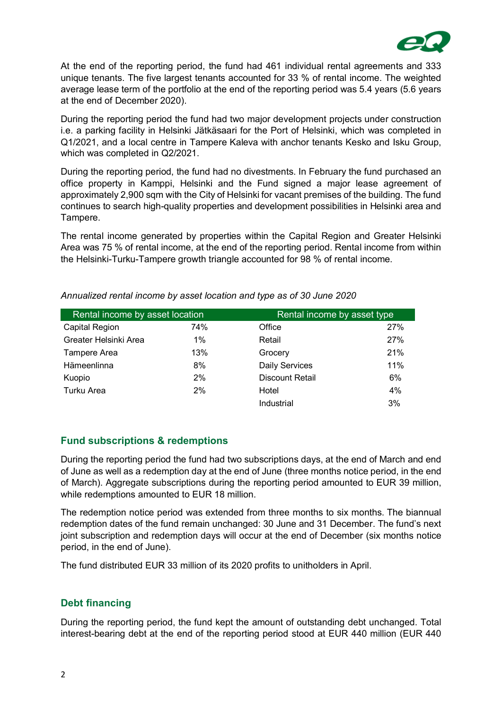

At the end of the reporting period, the fund had 461 individual rental agreements and 333 unique tenants. The five largest tenants accounted for 33 % of rental income. The weighted average lease term of the portfolio at the end of the reporting period was 5.4 years (5.6 years at the end of December 2020).

During the reporting period the fund had two major development projects under construction i.e. a parking facility in Helsinki Jätkäsaari for the Port of Helsinki, which was completed in Q1/2021, and a local centre in Tampere Kaleva with anchor tenants Kesko and Isku Group, which was completed in Q2/2021.

During the reporting period, the fund had no divestments. In February the fund purchased an office property in Kamppi, Helsinki and the Fund signed a major lease agreement of approximately 2,900 sqm with the City of Helsinki for vacant premises of the building. The fund continues to search high-quality properties and development possibilities in Helsinki area and Tampere.

The rental income generated by properties within the Capital Region and Greater Helsinki Area was 75 % of rental income, at the end of the reporting period. Rental income from within the Helsinki-Turku-Tampere growth triangle accounted for 98 % of rental income.

| Rental income by asset location |       | Rental income by asset type |     |
|---------------------------------|-------|-----------------------------|-----|
| Capital Region                  | 74%   | Office                      | 27% |
| Greater Helsinki Area           | $1\%$ | Retail                      | 27% |
| Tampere Area                    | 13%   | Grocery                     | 21% |
| Hämeenlinna                     | 8%    | <b>Daily Services</b>       | 11% |
| Kuopio                          | 2%    | <b>Discount Retail</b>      | 6%  |
| Turku Area                      | 2%    | Hotel                       | 4%  |
|                                 |       | Industrial                  | 3%  |

*Annualized rental income by asset location and type as of 30 June 2020*

# **Fund subscriptions & redemptions**

During the reporting period the fund had two subscriptions days, at the end of March and end of June as well as a redemption day at the end of June (three months notice period, in the end of March). Aggregate subscriptions during the reporting period amounted to EUR 39 million, while redemptions amounted to EUR 18 million.

The redemption notice period was extended from three months to six months. The biannual redemption dates of the fund remain unchanged: 30 June and 31 December. The fund's next joint subscription and redemption days will occur at the end of December (six months notice period, in the end of June).

The fund distributed EUR 33 million of its 2020 profits to unitholders in April.

# **Debt financing**

During the reporting period, the fund kept the amount of outstanding debt unchanged. Total interest-bearing debt at the end of the reporting period stood at EUR 440 million (EUR 440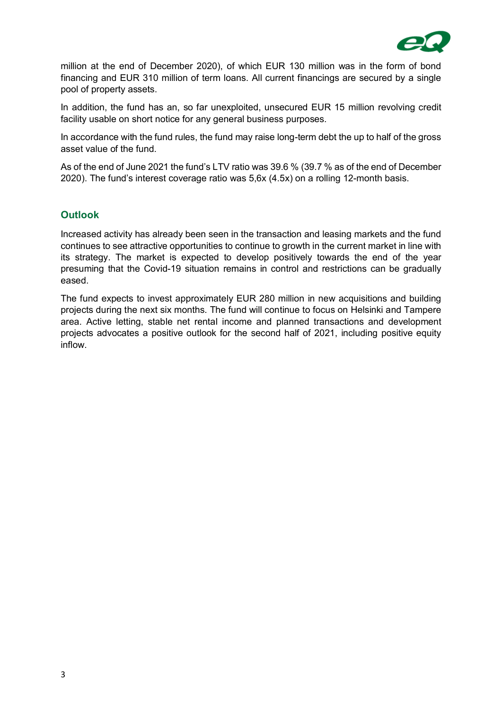

million at the end of December 2020), of which EUR 130 million was in the form of bond financing and EUR 310 million of term loans. All current financings are secured by a single pool of property assets.

In addition, the fund has an, so far unexploited, unsecured EUR 15 million revolving credit facility usable on short notice for any general business purposes.

In accordance with the fund rules, the fund may raise long-term debt the up to half of the gross asset value of the fund.

As of the end of June 2021 the fund's LTV ratio was 39.6 % (39.7 % as of the end of December 2020). The fund's interest coverage ratio was 5,6x (4.5x) on a rolling 12-month basis.

### **Outlook**

Increased activity has already been seen in the transaction and leasing markets and the fund continues to see attractive opportunities to continue to growth in the current market in line with its strategy. The market is expected to develop positively towards the end of the year presuming that the Covid-19 situation remains in control and restrictions can be gradually eased.

The fund expects to invest approximately EUR 280 million in new acquisitions and building projects during the next six months. The fund will continue to focus on Helsinki and Tampere area. Active letting, stable net rental income and planned transactions and development projects advocates a positive outlook for the second half of 2021, including positive equity inflow.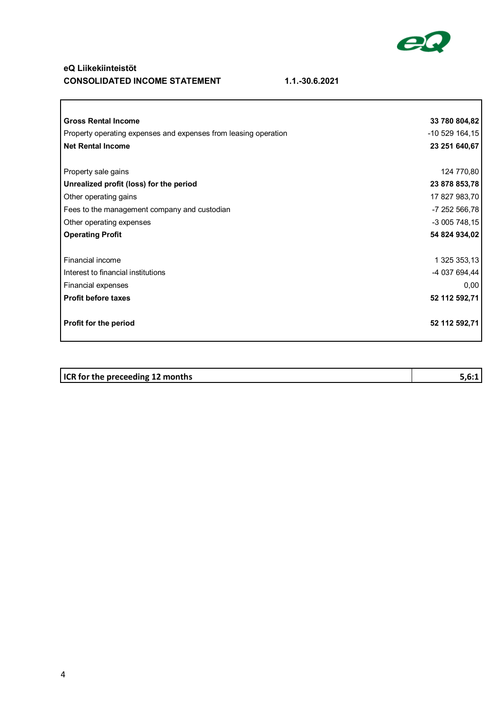

⅂

#### **eQ Liikekiinteistöt CONSOLIDATED INCOME STATEMENT 1.1.-30.6.2021**

 $\sqrt{2}$ 

| <b>Gross Rental Income</b>                                      | 33 780 804,82  |
|-----------------------------------------------------------------|----------------|
| Property operating expenses and expenses from leasing operation | -10 529 164,15 |
| <b>Net Rental Income</b>                                        | 23 251 640,67  |
|                                                                 |                |
| Property sale gains                                             | 124 770,80     |
| Unrealized profit (loss) for the period                         | 23 878 853,78  |
| Other operating gains                                           | 17 827 983,70  |
| Fees to the management company and custodian                    | -7 252 566,78  |
| Other operating expenses                                        | -3 005 748,15  |
| <b>Operating Profit</b>                                         | 54 824 934,02  |
|                                                                 |                |
| Financial income                                                | 1 325 353,13   |
| Interest to financial institutions                              | -4 037 694,44  |
| <b>Financial expenses</b>                                       | 0,00           |
| <b>Profit before taxes</b>                                      | 52 112 592,71  |
| <b>Profit for the period</b>                                    | 52 112 592,71  |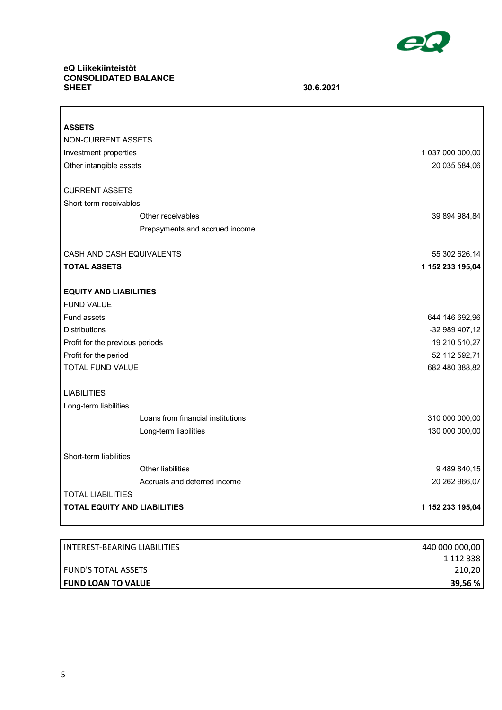

٦

# **eQ Liikekiinteistöt CONSOLIDATED BALANCE**

 $\Gamma$ 

**SHEET 30.6.2021**

| <b>ASSETS</b>                               |                                                            |                                  |
|---------------------------------------------|------------------------------------------------------------|----------------------------------|
| NON-CURRENT ASSETS                          |                                                            |                                  |
| Investment properties                       |                                                            | 1 037 000 000,00                 |
| Other intangible assets                     |                                                            | 20 035 584,06                    |
|                                             |                                                            |                                  |
| <b>CURRENT ASSETS</b>                       |                                                            |                                  |
| Short-term receivables                      |                                                            |                                  |
|                                             | Other receivables                                          | 39 894 984,84                    |
|                                             | Prepayments and accrued income                             |                                  |
| CASH AND CASH EQUIVALENTS                   |                                                            | 55 302 626,14                    |
| <b>TOTAL ASSETS</b>                         |                                                            | 1 152 233 195,04                 |
|                                             |                                                            |                                  |
| <b>EQUITY AND LIABILITIES</b>               |                                                            |                                  |
| <b>FUND VALUE</b>                           |                                                            |                                  |
| Fund assets                                 |                                                            | 644 146 692,96                   |
| <b>Distributions</b>                        |                                                            | -32 989 407,12                   |
| Profit for the previous periods             |                                                            | 19 210 510,27                    |
| Profit for the period                       |                                                            | 52 112 592,71                    |
| <b>TOTAL FUND VALUE</b>                     |                                                            | 682 480 388,82                   |
|                                             |                                                            |                                  |
|                                             |                                                            |                                  |
|                                             |                                                            |                                  |
|                                             |                                                            |                                  |
|                                             |                                                            |                                  |
| Short-term liabilities                      |                                                            |                                  |
|                                             | Other liabilities                                          | 9 489 840,15                     |
|                                             | Accruals and deferred income                               | 20 262 966,07                    |
| <b>TOTAL LIABILITIES</b>                    |                                                            |                                  |
| <b>TOTAL EQUITY AND LIABILITIES</b>         |                                                            | 1 152 233 195,04                 |
| <b>LIABILITIES</b><br>Long-term liabilities | Loans from financial institutions<br>Long-term liabilities | 310 000 000,00<br>130 000 000,00 |

| <b>LINTEREST-BEARING LIABILITIES</b> | 440 000 000,00 |
|--------------------------------------|----------------|
|                                      | 1 112 338      |
| <b>FUND'S TOTAL ASSETS</b>           | 210,20         |
| <b>FUND LOAN TO VALUE</b>            | 39,56%         |